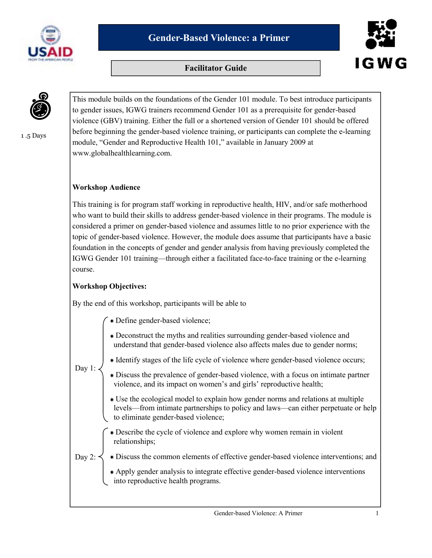





1 .5 Days

This module builds on the foundations of the Gender 101 module. To best introduce participants to gender issues, IGWG trainers recommend Gender 101 as a prerequisite for gender-based violence (GBV) training. Either the full or a shortened version of Gender 101 should be offered before beginning the gender-based violence training, or participants can complete the e-learning module, "Gender and Reproductive Health 101," available in January 2009 at www.globalhealthlearning.com.

#### **Workshop Audience**

This training is for program staff working in reproductive health, HIV, and/or safe motherhood who want to build their skills to address gender-based violence in their programs. The module is considered a primer on gender-based violence and assumes little to no prior experience with the topic of gender-based violence. However, the module does assume that participants have a basic foundation in the concepts of gender and gender analysis from having previously completed the IGWG Gender 101 training—through either a facilitated face-to-face training or the e-learning course.

#### **Workshop Objectives:**

By the end of this workshop, participants will be able to

- Define gender-based violence;
- Deconstruct the myths and realities surrounding gender-based violence and understand that gender-based violence also affects males due to gender norms;

Day 1:

- Identify stages of the life cycle of violence where gender-based violence occurs;
- Discuss the prevalence of gender-based violence, with a focus on intimate partner violence, and its impact on women's and girls' reproductive health;
- Use the ecological model to explain how gender norms and relations at multiple levels—from intimate partnerships to policy and laws—can either perpetuate or help to eliminate gender-based violence;
- Describe the cycle of violence and explore why women remain in violent relationships;
- Discuss the common elements of effective gender-based violence interventions; and Day 2:
	- Apply gender analysis to integrate effective gender-based violence interventions into reproductive health programs.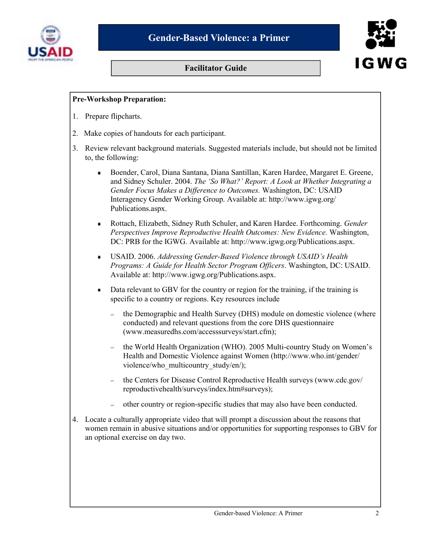



#### **Pre-Workshop Preparation:**

- 1. Prepare flipcharts.
- 2. Make copies of handouts for each participant.
- 3. Review relevant background materials. Suggested materials include, but should not be limited to, the following:
	- Boender, Carol, Diana Santana, Diana Santillan, Karen Hardee, Margaret E. Greene, and Sidney Schuler. 2004. *The 'So What?' Report: A Look at Whether Integrating a Gender Focus Makes a Difference to Outcomes.* Washington, DC: USAID Interagency Gender Working Group. Available at: http://www.igwg.org/ Publications.aspx.
	- Rottach, Elizabeth, Sidney Ruth Schuler, and Karen Hardee. Forthcoming. *Gender Perspectives Improve Reproductive Health Outcomes: New Evidence.* Washington, DC: PRB for the IGWG. Available at: http://www.igwg.org/Publications.aspx.
	- USAID. 2006. *Addressing Gender-Based Violence through USAID's Health*   $\bullet$ *Programs: A Guide for Health Sector Program Officers*. Washington, DC: USAID. Available at: http://www.igwg.org/Publications.aspx.
	- Data relevant to GBV for the country or region for the training, if the training is specific to a country or regions. Key resources include
		- the Demographic and Health Survey (DHS) module on domestic violence (where conducted) and relevant questions from the core DHS questionnaire (www.measuredhs.com/accesssurveys/start.cfm);
		- the World Health Organization (WHO). 2005 Multi-country Study on Women's Health and Domestic Violence against Women (http://www.who.int/gender/ violence/who\_multicountry\_study/en/);
		- the Centers for Disease Control Reproductive Health surveys (www.cdc.gov/ reproductivehealth/surveys/index.htm#surveys);
		- other country or region-specific studies that may also have been conducted.
- 4. Locate a culturally appropriate video that will prompt a discussion about the reasons that women remain in abusive situations and/or opportunities for supporting responses to GBV for an optional exercise on day two.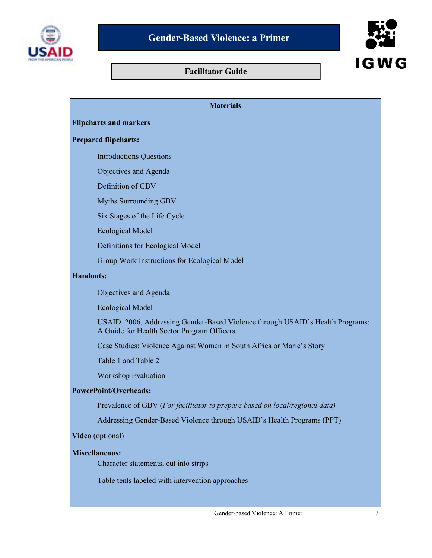



# **Materials Flipcharts and markers Prepared flipcharts:**  Introductions Questions Objectives and Agenda Definition of GBV Myths Surrounding GBV Six Stages of the Life Cycle Ecological Model Definitions for Ecological Model Group Work Instructions for Ecological Model **Handouts:**  Objectives and Agenda Ecological Model USAID. 2006. Addressing Gender-Based Violence through USAID's Health Programs: A Guide for Health Sector Program Officers. Case Studies: Violence Against Women in South Africa or Marie's Story Table 1 and Table 2 Workshop Evaluation **PowerPoint/Overheads:**  Prevalence of GBV (*For facilitator to prepare based on local/regional data)*  Addressing Gender-Based Violence through USAID's Health Programs (PPT) **Video** (optional) **Miscellaneous:** Character statements, cut into strips Table tents labeled with intervention approaches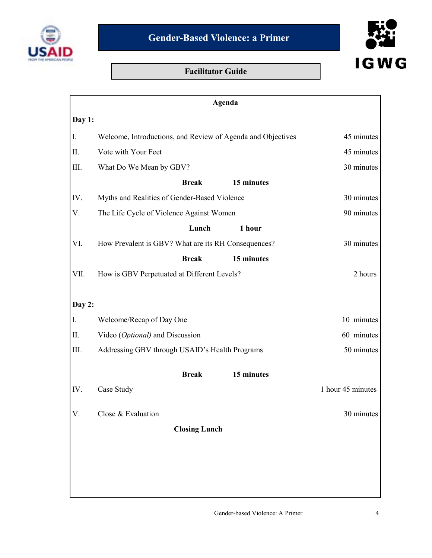



|           | Agenda                                                      |                   |
|-----------|-------------------------------------------------------------|-------------------|
| Day 1:    |                                                             |                   |
| I.        | Welcome, Introductions, and Review of Agenda and Objectives | 45 minutes        |
| II.       | Vote with Your Feet                                         | 45 minutes        |
| III.      | What Do We Mean by GBV?                                     | 30 minutes        |
|           | <b>Break</b><br>15 minutes                                  |                   |
| IV.       | Myths and Realities of Gender-Based Violence                | 30 minutes        |
| V.        | The Life Cycle of Violence Against Women                    | 90 minutes        |
|           | Lunch<br>1 hour                                             |                   |
| VI.       | How Prevalent is GBV? What are its RH Consequences?         | 30 minutes        |
|           | <b>Break</b><br>15 minutes                                  |                   |
| VII.      | How is GBV Perpetuated at Different Levels?                 | 2 hours           |
|           |                                                             |                   |
| Day 2:    |                                                             |                   |
| I.        | Welcome/Recap of Day One                                    | 10 minutes        |
| $\prod$ . | Video (Optional) and Discussion                             | 60 minutes        |
| III.      | Addressing GBV through USAID's Health Programs              | 50 minutes        |
|           | <b>Break</b><br>15 minutes                                  |                   |
| IV.       | Case Study                                                  | 1 hour 45 minutes |
| V.        | Close & Evaluation                                          | 30 minutes        |
|           | <b>Closing Lunch</b>                                        |                   |
|           |                                                             |                   |
|           |                                                             |                   |
|           |                                                             |                   |
|           |                                                             |                   |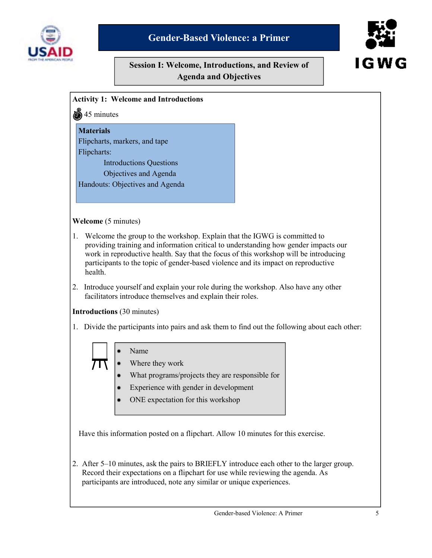

# **Gender-Based Violence: a Primer**

# **Session I: Welcome, Introductions, and Review of Agenda and Objectives**





**Welcome** (5 minutes)

**Activity 1: Welcome and Introductions** 

- providing training and information critical to understanding how gender impacts our work in reproductive health. Say that the focus of this workshop will be introducing participants to the topic of gender-based violence and its impact on reproductive health.
- 2. Introduce yourself and explain your role during the workshop. Also have any other facilitators introduce themselves and explain their roles.

#### **Introductions** (30 minutes)

1. Divide the participants into pairs and ask them to find out the following about each other:



Have this information posted on a flipchart. Allow 10 minutes for this exercise.

2. After 5–10 minutes, ask the pairs to BRIEFLY introduce each other to the larger group. Record their expectations on a flipchart for use while reviewing the agenda. As participants are introduced, note any similar or unique experiences.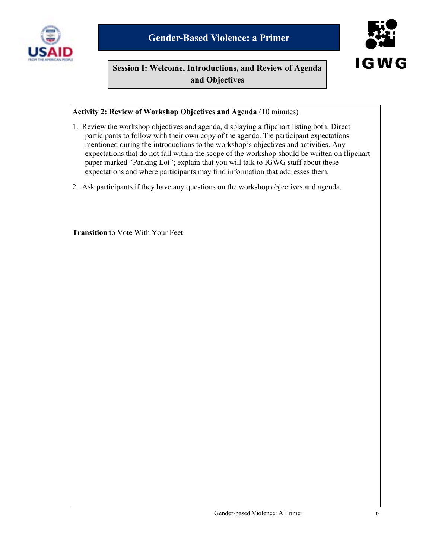



# **Session I: Welcome, Introductions, and Review of Agenda and Objectives**

#### **Activity 2: Review of Workshop Objectives and Agenda** (10 minutes)

- 1. Review the workshop objectives and agenda, displaying a flipchart listing both. Direct participants to follow with their own copy of the agenda. Tie participant expectations mentioned during the introductions to the workshop's objectives and activities. Any expectations that do not fall within the scope of the workshop should be written on flipchart paper marked "Parking Lot"; explain that you will talk to IGWG staff about these expectations and where participants may find information that addresses them.
- 2. Ask participants if they have any questions on the workshop objectives and agenda.

**Transition** to Vote With Your Feet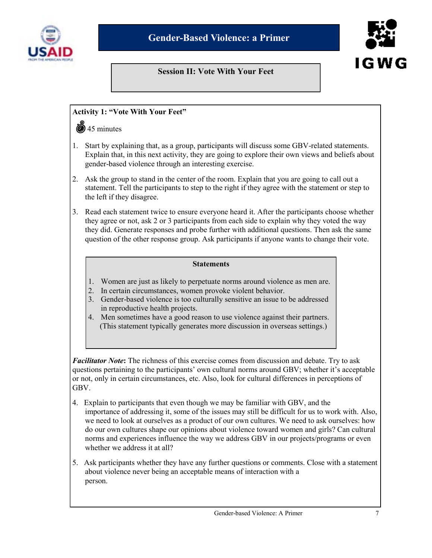



# **Session II: Vote With Your Feet**

#### **Activity 1: "Vote With Your Feet"**

#### $\ddot{\textbf{a}}$  45 minutes

- 1. Start by explaining that, as a group, participants will discuss some GBV-related statements. Explain that, in this next activity, they are going to explore their own views and beliefs about gender-based violence through an interesting exercise.
- 2. Ask the group to stand in the center of the room. Explain that you are going to call out a statement. Tell the participants to step to the right if they agree with the statement or step to the left if they disagree.
- 3. Read each statement twice to ensure everyone heard it. After the participants choose whether they agree or not, ask 2 or 3 participants from each side to explain why they voted the way they did. Generate responses and probe further with additional questions. Then ask the same question of the other response group. Ask participants if anyone wants to change their vote.

#### **Statements**

- 1. Women are just as likely to perpetuate norms around violence as men are.
- 2. In certain circumstances, women provoke violent behavior.
- 3. Gender-based violence is too culturally sensitive an issue to be addressed in reproductive health projects.
- 4. Men sometimes have a good reason to use violence against their partners. (This statement typically generates more discussion in overseas settings.)

*Facilitator Note***:** The richness of this exercise comes from discussion and debate. Try to ask questions pertaining to the participants' own cultural norms around GBV; whether it's acceptable or not, only in certain circumstances, etc. Also, look for cultural differences in perceptions of GBV.

- 4. Explain to participants that even though we may be familiar with GBV, and the importance of addressing it, some of the issues may still be difficult for us to work with. Also, we need to look at ourselves as a product of our own cultures. We need to ask ourselves: how do our own cultures shape our opinions about violence toward women and girls? Can cultural norms and experiences influence the way we address GBV in our projects/programs or even whether we address it at all?
- 5. Ask participants whether they have any further questions or comments. Close with a statement about violence never being an acceptable means of interaction with a person.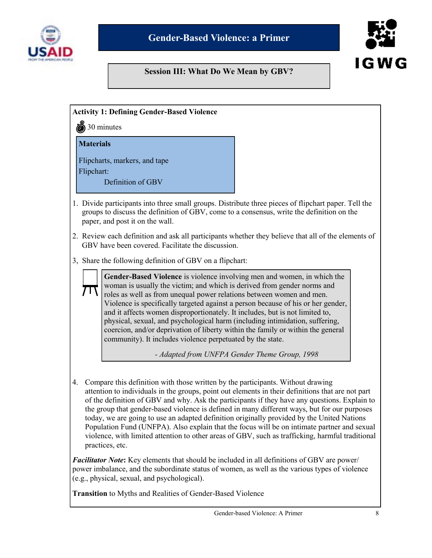

# **Session III: What Do We Mean by GBV?**



**Activity 1: Defining Gender-Based Violence**   $\ddot{\ddot{\text{m}}}$  30 minutes 1. Divide participants into three small groups. Distribute three pieces of flipchart paper. Tell the groups to discuss the definition of GBV, come to a consensus, write the definition on the paper, and post it on the wall. 2. Review each definition and ask all participants whether they believe that all of the elements of GBV have been covered. Facilitate the discussion. 3, Share the following definition of GBV on a flipchart: 4. Compare this definition with those written by the participants. Without drawing attention to individuals in the groups, point out elements in their definitions that are not part of the definition of GBV and why. Ask the participants if they have any questions. Explain to the group that gender-based violence is defined in many different ways, but for our purposes today, we are going to use an adapted definition originally provided by the United Nations Population Fund (UNFPA). Also explain that the focus will be on intimate partner and sexual violence, with limited attention to other areas of GBV, such as trafficking, harmful traditional practices, etc. *Facilitator Note***:** Key elements that should be included in all definitions of GBV are power/ power imbalance, and the subordinate status of women, as well as the various types of violence (e.g., physical, sexual, and psychological). **Transition** to Myths and Realities of Gender-Based Violence **Materials**  Flipcharts, markers, and tape Flipchart: Definition of GBV **Gender-Based Violence** is violence involving men and women, in which the woman is usually the victim; and which is derived from gender norms and roles as well as from unequal power relations between women and men. Violence is specifically targeted against a person because of his or her gender, and it affects women disproportionately. It includes, but is not limited to, physical, sexual, and psychological harm (including intimidation, suffering, coercion, and/or deprivation of liberty within the family or within the general community). It includes violence perpetuated by the state.  *- Adapted from UNFPA Gender Theme Group, 1998*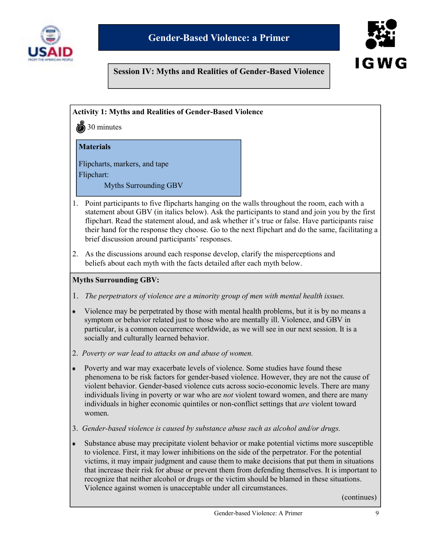



#### **Session IV: Myths and Realities of Gender-Based Violence**

**Activity 1: Myths and Realities of Gender-Based Violence** 

30 minutes

#### **Materials**

Flipcharts, markers, and tape Flipchart:

Myths Surrounding GBV

- 1. Point participants to five flipcharts hanging on the walls throughout the room, each with a statement about GBV (in italics below). Ask the participants to stand and join you by the first flipchart. Read the statement aloud, and ask whether it's true or false. Have participants raise their hand for the response they choose. Go to the next flipchart and do the same, facilitating a brief discussion around participants' responses.
- 2. As the discussions around each response develop, clarify the misperceptions and beliefs about each myth with the facts detailed after each myth below.

#### **Myths Surrounding GBV:**

- 1. *The perpetrators of violence are a minority group of men with mental health issues.*
- Violence may be perpetrated by those with mental health problems, but it is by no means a  $\bullet$ symptom or behavior related just to those who are mentally ill. Violence, and GBV in particular, is a common occurrence worldwide, as we will see in our next session. It is a socially and culturally learned behavior.
- 2. *Poverty or war lead to attacks on and abuse of women.*
- Poverty and war may exacerbate levels of violence. Some studies have found these  $\bullet$  phenomena to be risk factors for gender-based violence. However, they are not the cause of violent behavior. Gender-based violence cuts across socio-economic levels. There are many individuals living in poverty or war who are *not* violent toward women, and there are many individuals in higher economic quintiles or non-conflict settings that *are* violent toward women.
- 3. *Gender-based violence is caused by substance abuse such as alcohol and/or drugs.*
- Substance abuse may precipitate violent behavior or make potential victims more susceptible  $\bullet$ to violence. First, it may lower inhibitions on the side of the perpetrator. For the potential victims, it may impair judgment and cause them to make decisions that put them in situations that increase their risk for abuse or prevent them from defending themselves. It is important to recognize that neither alcohol or drugs or the victim should be blamed in these situations. Violence against women is unacceptable under all circumstances.

(continues)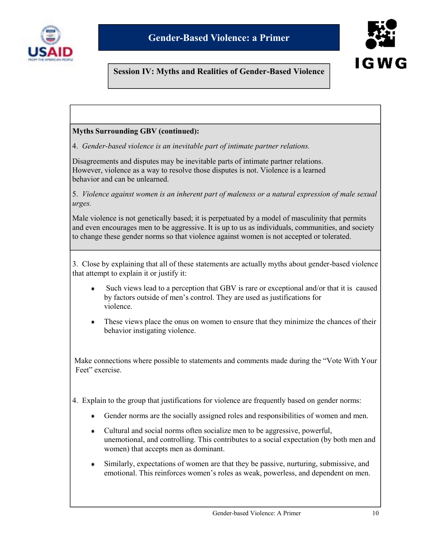



# **Session IV: Myths and Realities of Gender-Based Violence**

#### **Myths Surrounding GBV (continued):**

4. *Gender-based violence is an inevitable part of intimate partner relations.* 

Disagreements and disputes may be inevitable parts of intimate partner relations. However, violence as a way to resolve those disputes is not. Violence is a learned behavior and can be unlearned.

5. *Violence against women is an inherent part of maleness or a natural expression of male sexual urges.*

Male violence is not genetically based; it is perpetuated by a model of masculinity that permits and even encourages men to be aggressive. It is up to us as individuals, communities, and society to change these gender norms so that violence against women is not accepted or tolerated.

3. Close by explaining that all of these statements are actually myths about gender-based violence that attempt to explain it or justify it:

- Such views lead to a perception that GBV is rare or exceptional and/or that it is caused by factors outside of men's control. They are used as justifications for violence.
- These views place the onus on women to ensure that they minimize the chances of their behavior instigating violence.

Make connections where possible to statements and comments made during the "Vote With Your" Feet" exercise

4. Explain to the group that justifications for violence are frequently based on gender norms:

- Gender norms are the socially assigned roles and responsibilities of women and men.
- Cultural and social norms often socialize men to be aggressive, powerful, unemotional, and controlling. This contributes to a social expectation (by both men and women) that accepts men as dominant.
- Similarly, expectations of women are that they be passive, nurturing, submissive, and emotional. This reinforces women's roles as weak, powerless, and dependent on men.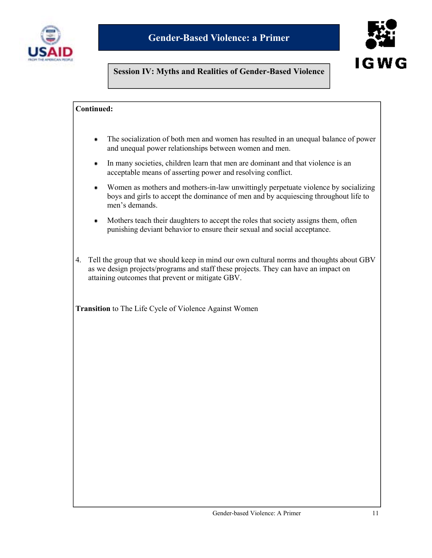



# **Session IV: Myths and Realities of Gender-Based Violence**

#### **Continued:**

- The socialization of both men and women has resulted in an unequal balance of power  $\bullet$ and unequal power relationships between women and men.
- In many societies, children learn that men are dominant and that violence is an ٠ acceptable means of asserting power and resolving conflict.
- Women as mothers and mothers-in-law unwittingly perpetuate violence by socializing boys and girls to accept the dominance of men and by acquiescing throughout life to men's demands.
- Mothers teach their daughters to accept the roles that society assigns them, often  $\bullet$ punishing deviant behavior to ensure their sexual and social acceptance.
- 4. Tell the group that we should keep in mind our own cultural norms and thoughts about GBV as we design projects/programs and staff these projects. They can have an impact on attaining outcomes that prevent or mitigate GBV.

**Transition** to The Life Cycle of Violence Against Women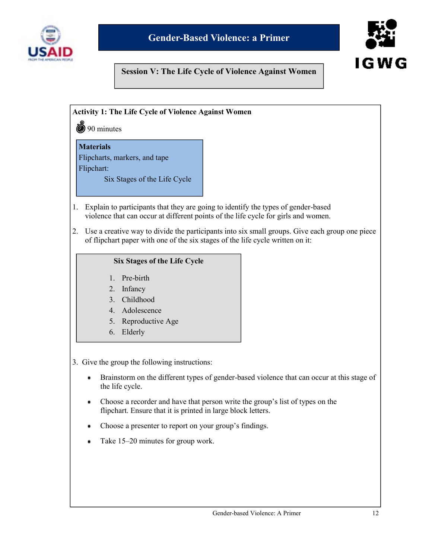



# **Session V: The Life Cycle of Violence Against Women**

#### **Activity 1: The Life Cycle of Violence Against Women**

**(9)** 90 minutes

#### **Materials**

Flipcharts, markers, and tape Flipchart:

Six Stages of the Life Cycle

- 1. Explain to participants that they are going to identify the types of gender-based violence that can occur at different points of the life cycle for girls and women.
- 2. Use a creative way to divide the participants into six small groups. Give each group one piece of flipchart paper with one of the six stages of the life cycle written on it:

#### **Six Stages of the Life Cycle**

- 1. Pre-birth
- 2. Infancy
- 3. Childhood
- 4. Adolescence
- 5. Reproductive Age
- 6. Elderly

3. Give the group the following instructions:

- Brainstorm on the different types of gender-based violence that can occur at this stage of ٠ the life cycle.
- Choose a recorder and have that person write the group's list of types on the  $\bullet$ flipchart. Ensure that it is printed in large block letters.
- Choose a presenter to report on your group's findings. ٠
- Take 15–20 minutes for group work.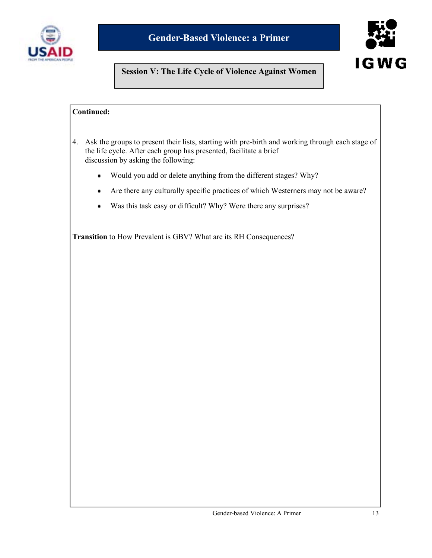



# **Session V: The Life Cycle of Violence Against Women**

# **Continued:**

- 4. Ask the groups to present their lists, starting with pre-birth and working through each stage of the life cycle. After each group has presented, facilitate a brief discussion by asking the following:
	- Would you add or delete anything from the different stages? Why? ٠
	- Are there any culturally specific practices of which Westerners may not be aware? ٠
	- Was this task easy or difficult? Why? Were there any surprises?  $\bullet$

**Transition** to How Prevalent is GBV? What are its RH Consequences?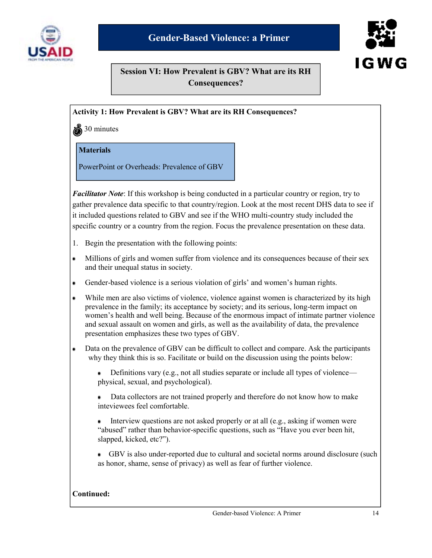



**Session VI: How Prevalent is GBV? What are its RH Consequences?**

#### **Activity 1: How Prevalent is GBV? What are its RH Consequences?**

 $\ddot{\bullet}$  30 minutes

#### **Materials**

PowerPoint or Overheads: Prevalence of GBV

*Facilitator Note*: If this workshop is being conducted in a particular country or region, try to gather prevalence data specific to that country/region. Look at the most recent DHS data to see if it included questions related to GBV and see if the WHO multi-country study included the specific country or a country from the region. Focus the prevalence presentation on these data.

- 1. Begin the presentation with the following points:
- Millions of girls and women suffer from violence and its consequences because of their sex  $\bullet$ and their unequal status in society.
- Gender-based violence is a serious violation of girls' and women's human rights.
- While men are also victims of violence, violence against women is characterized by its high prevalence in the family; its acceptance by society; and its serious, long-term impact on women's health and well being. Because of the enormous impact of intimate partner violence and sexual assault on women and girls, as well as the availability of data, the prevalence presentation emphasizes these two types of GBV.
- Data on the prevalence of GBV can be difficult to collect and compare. Ask the participants  $\bullet$ why they think this is so. Facilitate or build on the discussion using the points below:

Definitions vary (e.g., not all studies separate or include all types of violence—  $\bullet$ physical, sexual, and psychological).

 Data collectors are not trained properly and therefore do not know how to make inteviewees feel comfortable.

Interview questions are not asked properly or at all (e.g., asking if women were "abused" rather than behavior-specific questions, such as "Have you ever been hit, slapped, kicked, etc?").

 GBV is also under-reported due to cultural and societal norms around disclosure (such as honor, shame, sense of privacy) as well as fear of further violence.

#### **Continued:**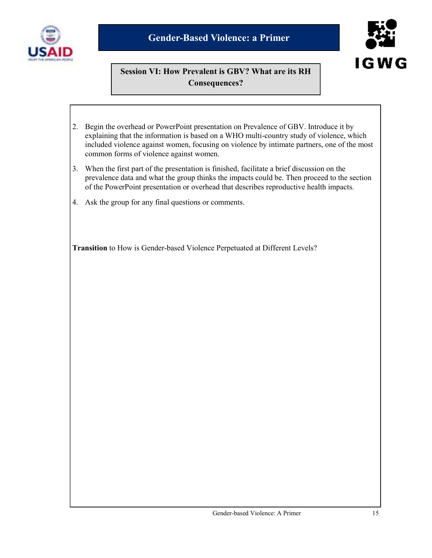



# **Session VI: How Prevalent is GBV? What are its RH Consequences?**

- 2. Begin the overhead or PowerPoint presentation on Prevalence of GBV. Introduce it by explaining that the information is based on a WHO multi-country study of violence, which included violence against women, focusing on violence by intimate partners, one of the most common forms of violence against women.
- 3. When the first part of the presentation is finished, facilitate a brief discussion on the prevalence data and what the group thinks the impacts could be. Then proceed to the section of the PowerPoint presentation or overhead that describes reproductive health impacts.
- 4. Ask the group for any final questions or comments.

**Transition** to How is Gender-based Violence Perpetuated at Different Levels?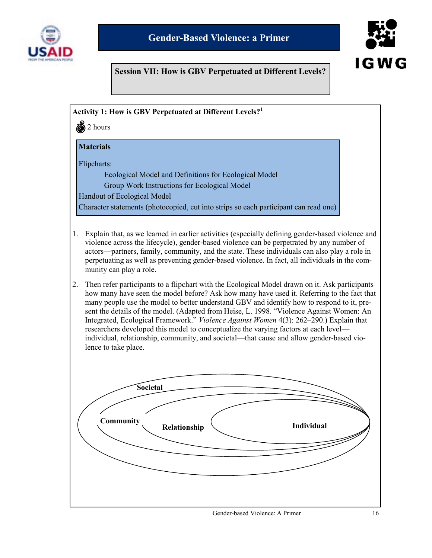



# **Session VII: How is GBV Perpetuated at Different Levels?**

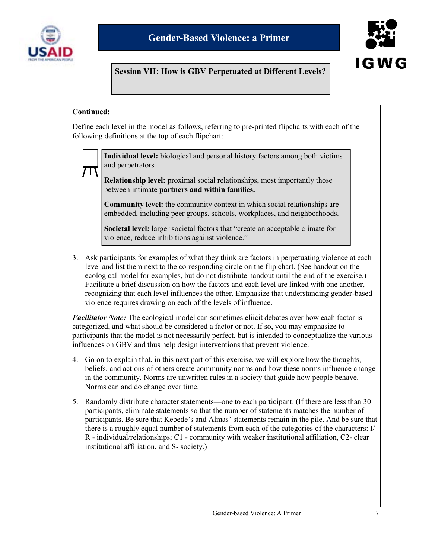



# **Session VII: How is GBV Perpetuated at Different Levels?**

#### **Continued:**

Define each level in the model as follows, referring to pre-printed flipcharts with each of the following definitions at the top of each flipchart:



**Individual level:** biological and personal history factors among both victims and perpetrators

**Relationship level:** proximal social relationships, most importantly those between intimate **partners and within families.** 

**Community level:** the community context in which social relationships are embedded, including peer groups, schools, workplaces, and neighborhoods.

**Societal level:** larger societal factors that "create an acceptable climate for violence, reduce inhibitions against violence."

3. Ask participants for examples of what they think are factors in perpetuating violence at each level and list them next to the corresponding circle on the flip chart. (See handout on the ecological model for examples, but do not distribute handout until the end of the exercise.) Facilitate a brief discussion on how the factors and each level are linked with one another, recognizing that each level influences the other. Emphasize that understanding gender-based violence requires drawing on each of the levels of influence.

*Facilitator Note:* The ecological model can sometimes eliicit debates over how each factor is categorized, and what should be considered a factor or not. If so, you may emphasize to participants that the model is not necessarily perfect, but is intended to conceptualize the various influences on GBV and thus help design interventions that prevent violence.

- 4. Go on to explain that, in this next part of this exercise, we will explore how the thoughts, beliefs, and actions of others create community norms and how these norms influence change in the community. Norms are unwritten rules in a society that guide how people behave. Norms can and do change over time.
- 5. Randomly distribute character statements—one to each participant. (If there are less than 30 participants, eliminate statements so that the number of statements matches the number of participants. Be sure that Kebede's and Almas' statements remain in the pile. And be sure that there is a roughly equal number of statements from each of the categories of the characters: I/ R - individual/relationships; C1 - community with weaker institutional affiliation, C2- clear institutional affiliation, and S- society.)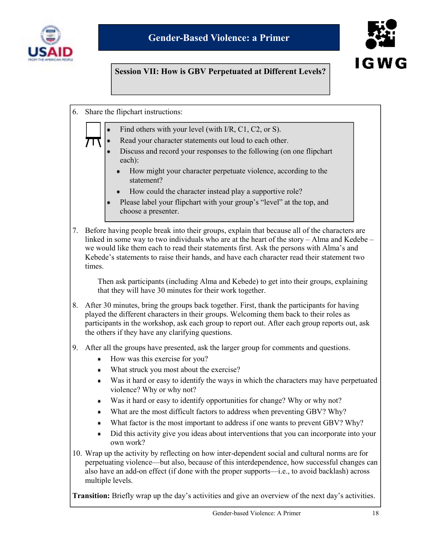



# **Session VII: How is GBV Perpetuated at Different Levels?**

- 6. Share the flipchart instructions:
	- Find others with your level (with I/R, C1, C2, or S).
		- Read your character statements out loud to each other.
		- Discuss and record your responses to the following (on one flipchart each):
			- How might your character perpetuate violence, according to the statement?
			- How could the character instead play a supportive role?
		- Please label your flipchart with your group's "level" at the top, and choose a presenter.
- 7. Before having people break into their groups, explain that because all of the characters are linked in some way to two individuals who are at the heart of the story – Alma and Kedebe – we would like them each to read their statements first. Ask the persons with Alma's and Kebede's statements to raise their hands, and have each character read their statement two times.

 Then ask participants (including Alma and Kebede) to get into their groups, explaining that they will have 30 minutes for their work together.

- 8. After 30 minutes, bring the groups back together. First, thank the participants for having played the different characters in their groups. Welcoming them back to their roles as participants in the workshop, ask each group to report out. After each group reports out, ask the others if they have any clarifying questions.
- 9. After all the groups have presented, ask the larger group for comments and questions.
	- How was this exercise for you? ٠
	- What struck you most about the exercise?  $\bullet$
	- Was it hard or easy to identify the ways in which the characters may have perpetuated violence? Why or why not?
	- Was it hard or easy to identify opportunities for change? Why or why not?
	- What are the most difficult factors to address when preventing GBV? Why?
	- What factor is the most important to address if one wants to prevent GBV? Why? ٠
	- $\bullet$ Did this activity give you ideas about interventions that you can incorporate into your own work?
- 10. Wrap up the activity by reflecting on how inter-dependent social and cultural norms are for perpetuating violence—but also, because of this interdependence, how successful changes can also have an add-on effect (if done with the proper supports—i.e., to avoid backlash) across multiple levels.

**Transition:** Briefly wrap up the day's activities and give an overview of the next day's activities.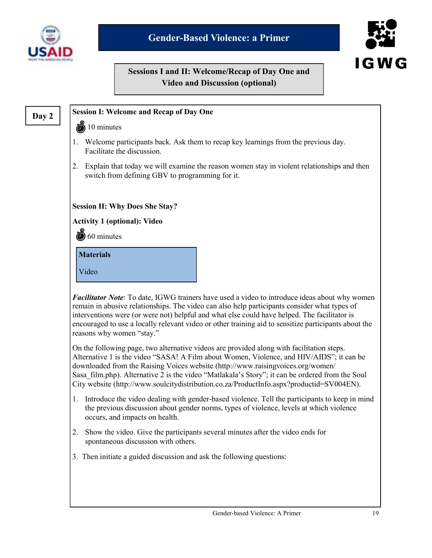



# **Sessions I and II: Welcome/Recap of Day One and Video and Discussion (optional)**

# **Day 2**

#### **Session I: Welcome and Recap of Day One**

#### 10 minutes

- 1. Welcome participants back. Ask them to recap key learnings from the previous day. Facilitate the discussion.
- 2. Explain that today we will examine the reason women stay in violent relationships and then switch from defining GBV to programming for it.

**Session II: Why Does She Stay?** 

**Activity 1 (optional): Video** 

60 minutes

**Materials** 

Video

*Facilitator Note*: To date, IGWG trainers have used a video to introduce ideas about why women remain in abusive relationships. The video can also help participants consider what types of interventions were (or were not) helpful and what else could have helped. The facilitator is encouraged to use a locally relevant video or other training aid to sensitize participants about the reasons why women "stay."

On the following page, two alternative videos are provided along with facilitation steps. Alternative 1 is the video "SASA! A Film about Women, Violence, and HIV/AIDS"; it can be downloaded from the Raising Voices website (http://www.raisingvoices.org/women/ Sasa film.php). Alternative 2 is the video "Matlakala's Story"; it can be ordered from the Soul City website (http://www.soulcitydistribution.co.za/ProductInfo.aspx?productid=SV004EN).

- 1. Introduce the video dealing with gender-based violence. Tell the participants to keep in mind the previous discussion about gender norms, types of violence, levels at which violence occurs, and impacts on health.
- 2. Show the video. Give the participants several minutes after the video ends for spontaneous discussion with others.
- 3. Then initiate a guided discussion and ask the following questions: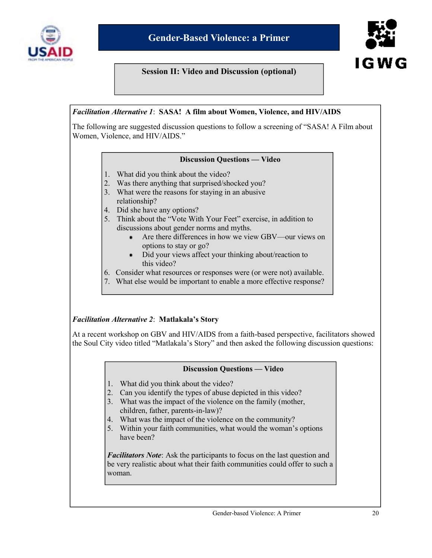

#### **Session II: Video and Discussion (optional)**



#### *Facilitation Alternative 1*: **SASA! A film about Women, Violence, and HIV/AIDS**

The following are suggested discussion questions to follow a screening of "SASA! A Film about Women, Violence, and HIV/AIDS."

#### **Discussion Questions — Video**

- 1. What did you think about the video?
- 2. Was there anything that surprised/shocked you?
- 3. What were the reasons for staying in an abusive
- relationship?
- 4. Did she have any options?
- 5. Think about the "Vote With Your Feet" exercise, in addition to discussions about gender norms and myths.
	- Are there differences in how we view GBV—our views on  $\bullet$ options to stay or go?
	- Did your views affect your thinking about/reaction to . this video?
- 6. Consider what resources or responses were (or were not) available.
- 7. What else would be important to enable a more effective response?

#### *Facilitation Alternative 2*: **Matlakala's Story**

At a recent workshop on GBV and HIV/AIDS from a faith-based perspective, facilitators showed the Soul City video titled "Matlakala's Story" and then asked the following discussion questions:

#### **Discussion Questions — Video**

- 1. What did you think about the video?
- 2. Can you identify the types of abuse depicted in this video?
- 3. What was the impact of the violence on the family (mother, children, father, parents-in-law)?
- 4. What was the impact of the violence on the community?
- 5. Within your faith communities, what would the woman's options have been?

*Facilitators Note*: Ask the participants to focus on the last question and be very realistic about what their faith communities could offer to such a woman.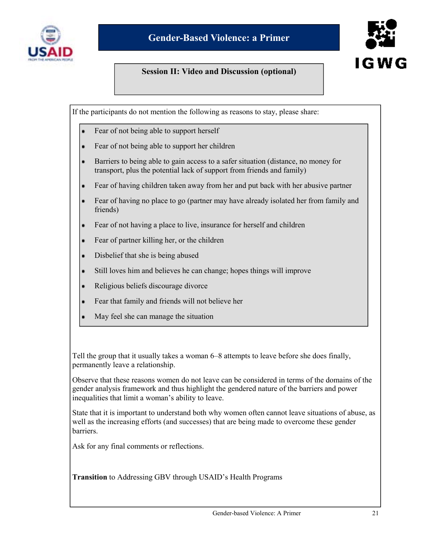

#### **Session II: Video and Discussion (optional)**

IGWG

If the participants do not mention the following as reasons to stay, please share:

- Fear of not being able to support herself
- Fear of not being able to support her children ٠
- Barriers to being able to gain access to a safer situation (distance, no money for transport, plus the potential lack of support from friends and family)
- Fear of having children taken away from her and put back with her abusive partner
- Fear of having no place to go (partner may have already isolated her from family and friends)
- Fear of not having a place to live, insurance for herself and children
- Fear of partner killing her, or the children
- Disbelief that she is being abused  $\bullet$
- Still loves him and believes he can change; hopes things will improve
- Religious beliefs discourage divorce
- Fear that family and friends will not believe her
- May feel she can manage the situation

Tell the group that it usually takes a woman 6–8 attempts to leave before she does finally, permanently leave a relationship.

Observe that these reasons women do not leave can be considered in terms of the domains of the gender analysis framework and thus highlight the gendered nature of the barriers and power inequalities that limit a woman's ability to leave.

State that it is important to understand both why women often cannot leave situations of abuse, as well as the increasing efforts (and successes) that are being made to overcome these gender barriers.

Ask for any final comments or reflections.

**Transition** to Addressing GBV through USAID's Health Programs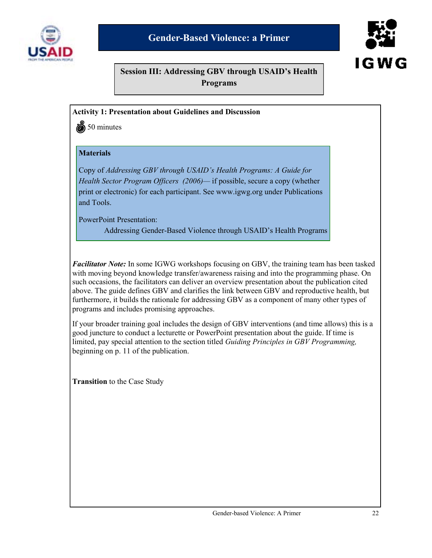



**Session III: Addressing GBV through USAID's Health Programs** 

#### **Activity 1: Presentation about Guidelines and Discussion**

50 minutes

#### **Materials**

Copy of *Addressing GBV through USAID's Health Programs: A Guide for Health Sector Program Officers (2006)—* if possible, secure a copy (whether print or electronic) for each participant. See www.igwg.org under Publications and Tools.

PowerPoint Presentation:

Addressing Gender-Based Violence through USAID's Health Programs

*Facilitator Note:* In some IGWG workshops focusing on GBV, the training team has been tasked with moving beyond knowledge transfer/awareness raising and into the programming phase. On such occasions, the facilitators can deliver an overview presentation about the publication cited above. The guide defines GBV and clarifies the link between GBV and reproductive health, but furthermore, it builds the rationale for addressing GBV as a component of many other types of programs and includes promising approaches.

If your broader training goal includes the design of GBV interventions (and time allows) this is a good juncture to conduct a lecturette or PowerPoint presentation about the guide. If time is limited, pay special attention to the section titled *Guiding Principles in GBV Programming,* beginning on p. 11 of the publication.

**Transition** to the Case Study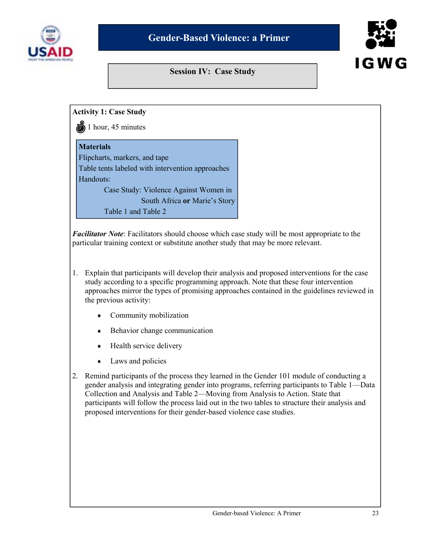

#### **Session IV: Case Study**



#### **Activity 1: Case Study**

 $\ddot{\bullet}$  1 hour, 45 minutes

#### **Materials**

Flipcharts, markers, and tape Table tents labeled with intervention approaches Handouts: Case Study: Violence Against Women in South Africa **or** Marie's Story

Table 1 and Table 2

*Facilitator Note*: Facilitators should choose which case study will be most appropriate to the particular training context or substitute another study that may be more relevant.

- 1. Explain that participants will develop their analysis and proposed interventions for the case study according to a specific programming approach. Note that these four intervention approaches mirror the types of promising approaches contained in the guidelines reviewed in the previous activity:
	- Community mobilization ٠
	- Behavior change communication
	- Health service delivery ٠
	- $\bullet$ Laws and policies
- 2. Remind participants of the process they learned in the Gender 101 module of conducting a gender analysis and integrating gender into programs, referring participants to Table 1—Data Collection and Analysis and Table 2—Moving from Analysis to Action. State that participants will follow the process laid out in the two tables to structure their analysis and proposed interventions for their gender-based violence case studies.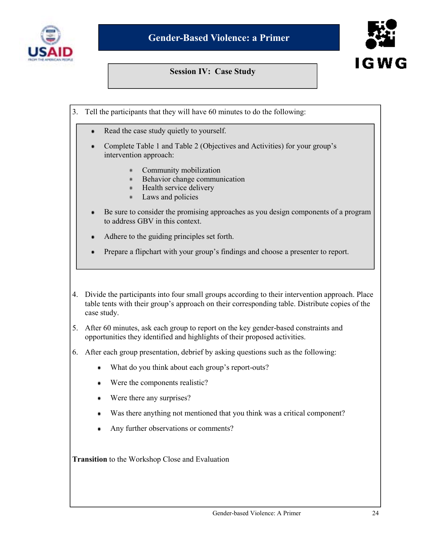

#### **Session IV: Case Study**



- 3. Tell the participants that they will have 60 minutes to do the following:
	- Read the case study quietly to yourself.
	- Complete Table 1 and Table 2 (Objectives and Activities) for your group's intervention approach:
		- Community mobilization  $\frac{1}{2}$
		- Behavior change communication  $\bullet$
		- Health service delivery
		- Laws and policies ×
	- Be sure to consider the promising approaches as you design components of a program to address GBV in this context.
	- Adhere to the guiding principles set forth.
	- Prepare a flipchart with your group's findings and choose a presenter to report.
- 4. Divide the participants into four small groups according to their intervention approach. Place table tents with their group's approach on their corresponding table. Distribute copies of the case study.
- 5. After 60 minutes, ask each group to report on the key gender-based constraints and opportunities they identified and highlights of their proposed activities.
- 6. After each group presentation, debrief by asking questions such as the following:
	- What do you think about each group's report-outs?
	- Were the components realistic?
	- ٠ Were there any surprises?
	- Was there anything not mentioned that you think was a critical component?  $\bullet$
	- Any further observations or comments?  $\bullet$

**Transition** to the Workshop Close and Evaluation